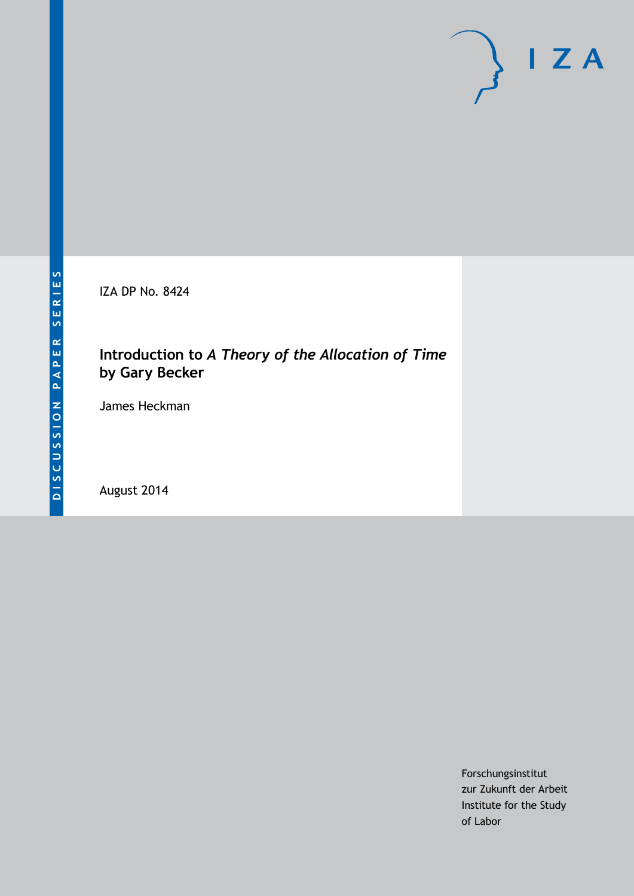IZA DP No. 8424

## **Introduction to** *A Theory of the Allocation of Time*  **by Gary Becker**

James Heckman

August 2014

Forschungsinstitut zur Zukunft der Arbeit Institute for the Study of Labor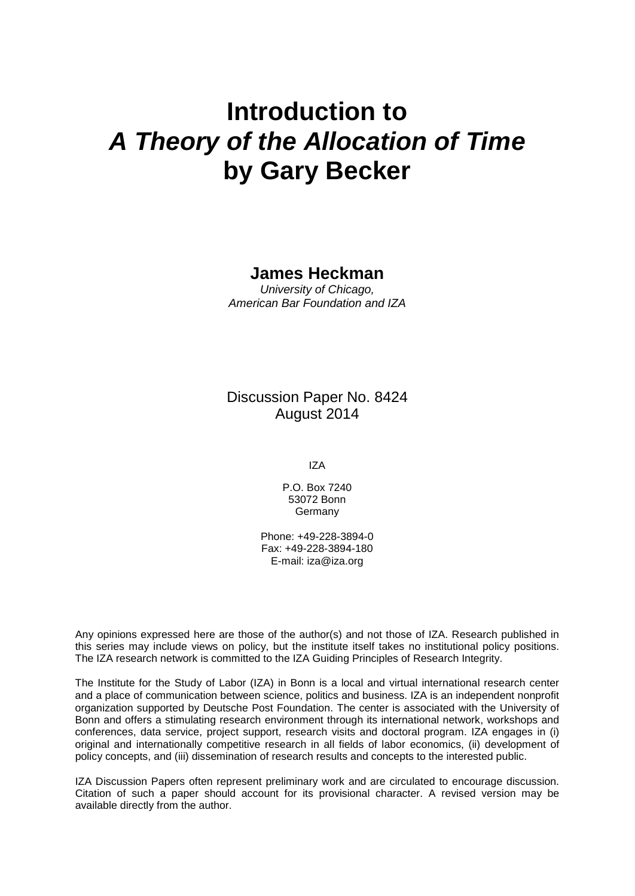# **Introduction to** *A Theory of the Allocation of Time* **by Gary Becker**

#### **James Heckman**

*University of Chicago, American Bar Foundation and IZA*

Discussion Paper No. 8424 August 2014

IZA

P.O. Box 7240 53072 Bonn **Germany** 

Phone: +49-228-3894-0 Fax: +49-228-3894-180 E-mail: [iza@iza.org](mailto:iza@iza.org)

Any opinions expressed here are those of the author(s) and not those of IZA. Research published in this series may include views on policy, but the institute itself takes no institutional policy positions. The IZA research network is committed to the IZA Guiding Principles of Research Integrity.

The Institute for the Study of Labor (IZA) in Bonn is a local and virtual international research center and a place of communication between science, politics and business. IZA is an independent nonprofit organization supported by Deutsche Post Foundation. The center is associated with the University of Bonn and offers a stimulating research environment through its international network, workshops and conferences, data service, project support, research visits and doctoral program. IZA engages in (i) original and internationally competitive research in all fields of labor economics, (ii) development of policy concepts, and (iii) dissemination of research results and concepts to the interested public.

<span id="page-1-0"></span>IZA Discussion Papers often represent preliminary work and are circulated to encourage discussion. Citation of such a paper should account for its provisional character. A revised version may be available directly from the author.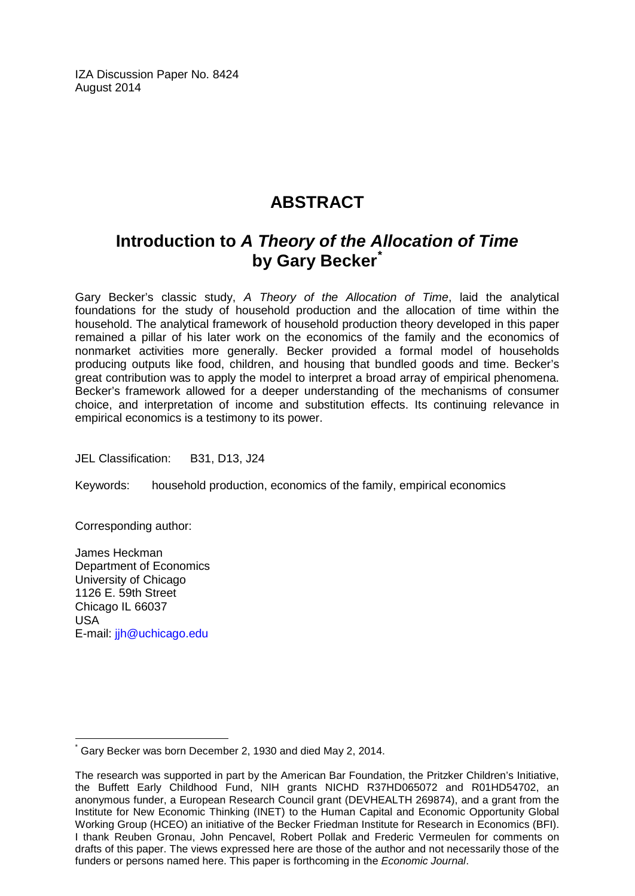IZA Discussion Paper No. 8424 August 2014

# **ABSTRACT**

# **Introduction to** *A Theory of the Allocation of Time* **by Gary Becker[\\*](#page-1-0)**

Gary Becker's classic study, *A Theory of the Allocation of Time*, laid the analytical foundations for the study of household production and the allocation of time within the household. The analytical framework of household production theory developed in this paper remained a pillar of his later work on the economics of the family and the economics of nonmarket activities more generally. Becker provided a formal model of households producing outputs like food, children, and housing that bundled goods and time. Becker's great contribution was to apply the model to interpret a broad array of empirical phenomena. Becker's framework allowed for a deeper understanding of the mechanisms of consumer choice, and interpretation of income and substitution effects. Its continuing relevance in empirical economics is a testimony to its power.

JEL Classification: B31, D13, J24

Keywords: household production, economics of the family, empirical economics

Corresponding author:

James Heckman Department of Economics University of Chicago 1126 E. 59th Street Chicago IL 66037 USA E-mail: [jjh@uchicago.edu](mailto:jjh@uchicago.edu)

Gary Becker was born December 2, 1930 and died May 2, 2014.

The research was supported in part by the American Bar Foundation, the Pritzker Children's Initiative, the Buffett Early Childhood Fund, NIH grants NICHD R37HD065072 and R01HD54702, an anonymous funder, a European Research Council grant (DEVHEALTH 269874), and a grant from the Institute for New Economic Thinking (INET) to the Human Capital and Economic Opportunity Global Working Group (HCEO) an initiative of the Becker Friedman Institute for Research in Economics (BFI). I thank Reuben Gronau, John Pencavel, Robert Pollak and Frederic Vermeulen for comments on drafts of this paper. The views expressed here are those of the author and not necessarily those of the funders or persons named here. This paper is forthcoming in the *Economic Journal*.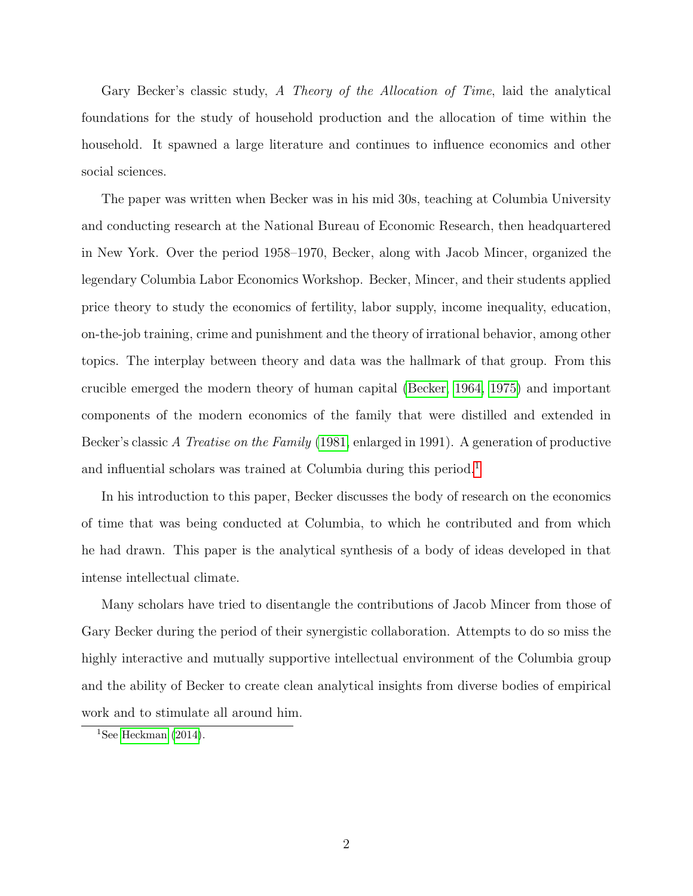Gary Becker's classic study, A Theory of the Allocation of Time, laid the analytical foundations for the study of household production and the allocation of time within the household. It spawned a large literature and continues to influence economics and other social sciences.

The paper was written when Becker was in his mid 30s, teaching at Columbia University and conducting research at the National Bureau of Economic Research, then headquartered in New York. Over the period 1958–1970, Becker, along with Jacob Mincer, organized the legendary Columbia Labor Economics Workshop. Becker, Mincer, and their students applied price theory to study the economics of fertility, labor supply, income inequality, education, on-the-job training, crime and punishment and the theory of irrational behavior, among other topics. The interplay between theory and data was the hallmark of that group. From this crucible emerged the modern theory of human capital [\(Becker, 1964,](#page-10-0) [1975\)](#page-10-1) and important components of the modern economics of the family that were distilled and extended in Becker's classic A Treatise on the Family [\(1981,](#page-10-2) enlarged in 1991). A generation of productive and influential scholars was trained at Columbia during this period.<sup>[1](#page-3-0)</sup>

In his introduction to this paper, Becker discusses the body of research on the economics of time that was being conducted at Columbia, to which he contributed and from which he had drawn. This paper is the analytical synthesis of a body of ideas developed in that intense intellectual climate.

Many scholars have tried to disentangle the contributions of Jacob Mincer from those of Gary Becker during the period of their synergistic collaboration. Attempts to do so miss the highly interactive and mutually supportive intellectual environment of the Columbia group and the ability of Becker to create clean analytical insights from diverse bodies of empirical work and to stimulate all around him.

<span id="page-3-0"></span><sup>&</sup>lt;sup>1</sup>See [Heckman](#page-13-0)  $(2014)$ .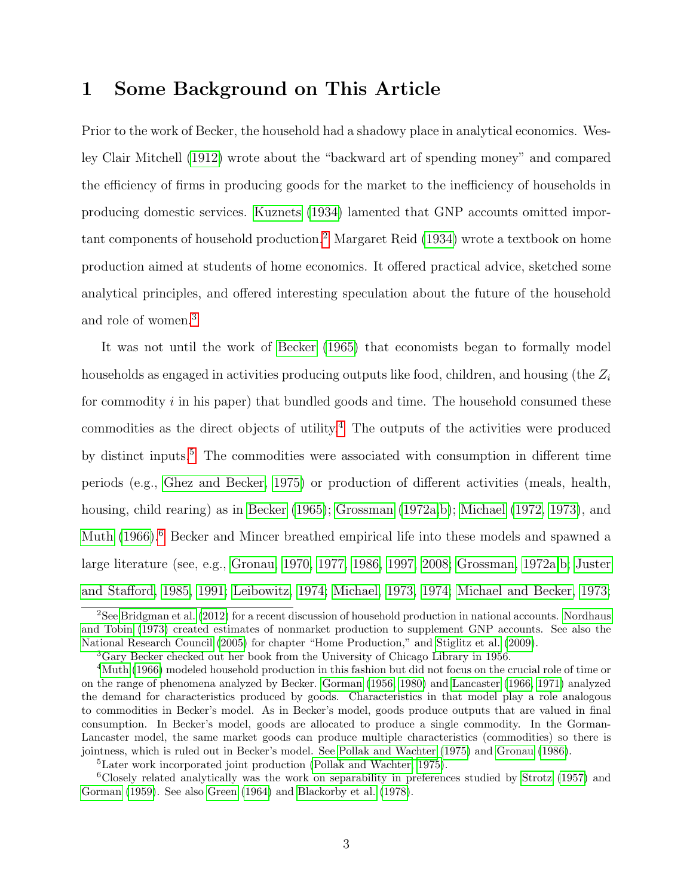#### 1 Some Background on This Article

Prior to the work of Becker, the household had a shadowy place in analytical economics. Wesley Clair Mitchell [\(1912\)](#page-14-0) wrote about the "backward art of spending money" and compared the efficiency of firms in producing goods for the market to the inefficiency of households in producing domestic services. [Kuznets](#page-13-1) [\(1934\)](#page-13-1) lamented that GNP accounts omitted important components of household production.[2](#page-4-0) Margaret Reid [\(1934\)](#page-15-0) wrote a textbook on home production aimed at students of home economics. It offered practical advice, sketched some analytical principles, and offered interesting speculation about the future of the household and role of women.[3](#page-4-1)

It was not until the work of [Becker](#page-10-3) [\(1965\)](#page-10-3) that economists began to formally model households as engaged in activities producing outputs like food, children, and housing (the  $Z_i$ for commodity  $i$  in his paper) that bundled goods and time. The household consumed these commodities as the direct objects of utility.<sup>[4](#page-4-2)</sup> The outputs of the activities were produced by distinct inputs.<sup>[5](#page-4-3)</sup> The commodities were associated with consumption in different time periods (e.g., [Ghez and Becker, 1975\)](#page-11-0) or production of different activities (meals, health, housing, child rearing) as in [Becker](#page-10-3) [\(1965\)](#page-10-3); [Grossman](#page-12-0) [\(1972a,](#page-12-0)[b\)](#page-12-1); [Michael](#page-13-2) [\(1972,](#page-13-2) [1973\)](#page-14-1), and [Muth](#page-14-2) [\(1966\)](#page-14-2).<sup>[6](#page-4-4)</sup> Becker and Mincer breathed empirical life into these models and spawned a large literature (see, e.g., [Gronau, 1970,](#page-12-2) [1977,](#page-12-3) [1986,](#page-12-4) [1997,](#page-12-5) [2008;](#page-12-6) [Grossman, 1972a,](#page-12-0)[b;](#page-12-1) [Juster](#page-13-3) [and Stafford, 1985,](#page-13-3) [1991;](#page-13-4) [Leibowitz, 1974;](#page-13-5) [Michael, 1973,](#page-14-1) [1974;](#page-14-3) [Michael and Becker, 1973;](#page-14-4)

<span id="page-4-0"></span><sup>&</sup>lt;sup>2</sup>See [Bridgman et al.](#page-11-1) [\(2012\)](#page-11-1) for a recent discussion of household production in national accounts. [Nordhaus](#page-15-1) [and Tobin](#page-15-1) [\(1973\)](#page-15-1) created estimates of nonmarket production to supplement GNP accounts. See also the [National Research Council](#page-15-2) [\(2005\)](#page-15-2) for chapter "Home Production," and [Stiglitz et al.](#page-15-3) [\(2009\)](#page-15-3).

<span id="page-4-2"></span><span id="page-4-1"></span><sup>3</sup>Gary Becker checked out her book from the University of Chicago Library in 1956.

<sup>4</sup>[Muth](#page-14-2) [\(1966\)](#page-14-2) modeled household production in this fashion but did not focus on the crucial role of time or on the range of phenomena analyzed by Becker. [Gorman](#page-11-2) [\(1956,](#page-11-2) [1980\)](#page-12-7) and [Lancaster](#page-13-6) [\(1966,](#page-13-6) [1971\)](#page-13-7) analyzed the demand for characteristics produced by goods. Characteristics in that model play a role analogous to commodities in Becker's model. As in Becker's model, goods produce outputs that are valued in final consumption. In Becker's model, goods are allocated to produce a single commodity. In the Gorman-Lancaster model, the same market goods can produce multiple characteristics (commodities) so there is jointness, which is ruled out in Becker's model. See [Pollak and Wachter](#page-15-4) [\(1975\)](#page-15-4) and [Gronau](#page-12-4) [\(1986\)](#page-12-4).

<span id="page-4-4"></span><span id="page-4-3"></span><sup>5</sup>Later work incorporated joint production [\(Pollak and Wachter, 1975\)](#page-15-4).

<sup>6</sup>Closely related analytically was the work on separability in preferences studied by [Strotz](#page-16-0) [\(1957\)](#page-16-0) and [Gorman](#page-12-8) [\(1959\)](#page-12-8). See also [Green](#page-12-9) [\(1964\)](#page-12-9) and [Blackorby et al.](#page-11-3) [\(1978\)](#page-11-3).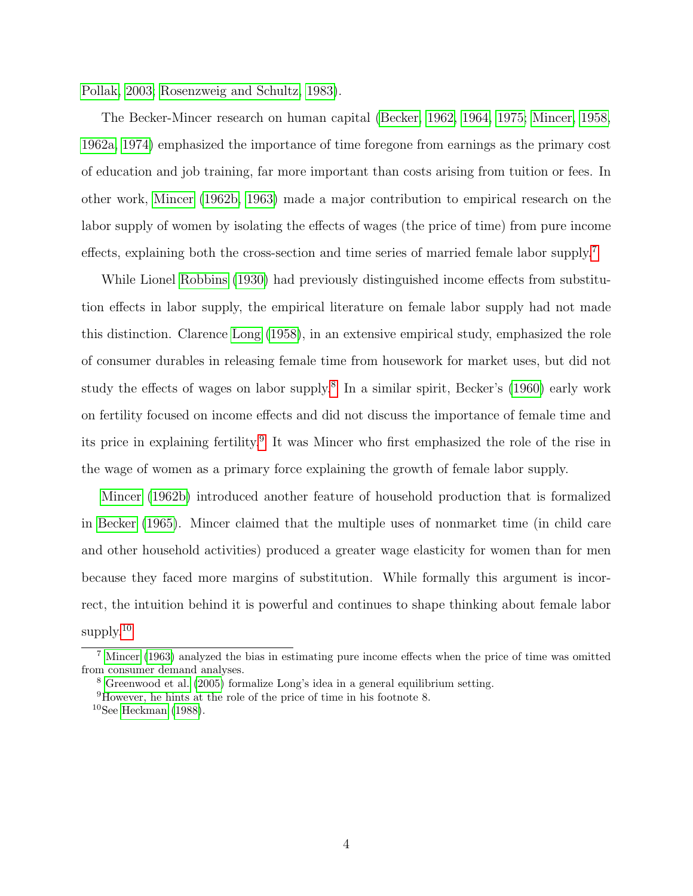[Pollak, 2003;](#page-15-5) [Rosenzweig and Schultz, 1983\)](#page-15-6).

The Becker-Mincer research on human capital [\(Becker, 1962,](#page-10-4) [1964,](#page-10-0) [1975;](#page-10-1) [Mincer, 1958,](#page-14-5) [1962a,](#page-14-6) [1974\)](#page-14-7) emphasized the importance of time foregone from earnings as the primary cost of education and job training, far more important than costs arising from tuition or fees. In other work, [Mincer](#page-14-8) [\(1962b,](#page-14-8) [1963\)](#page-14-9) made a major contribution to empirical research on the labor supply of women by isolating the effects of wages (the price of time) from pure income effects, explaining both the cross-section and time series of married female labor supply.[7](#page-5-0)

While Lionel [Robbins](#page-15-7) [\(1930\)](#page-15-7) had previously distinguished income effects from substitution effects in labor supply, the empirical literature on female labor supply had not made this distinction. Clarence [Long](#page-13-8) [\(1958\)](#page-13-8), in an extensive empirical study, emphasized the role of consumer durables in releasing female time from housework for market uses, but did not study the effects of wages on labor supply.<sup>[8](#page-5-1)</sup> In a similar spirit, Becker's [\(1960\)](#page-10-5) early work on fertility focused on income effects and did not discuss the importance of female time and its price in explaining fertility.<sup>[9](#page-5-2)</sup> It was Mincer who first emphasized the role of the rise in the wage of women as a primary force explaining the growth of female labor supply.

[Mincer](#page-14-8) [\(1962b\)](#page-14-8) introduced another feature of household production that is formalized in [Becker](#page-10-3) [\(1965\)](#page-10-3). Mincer claimed that the multiple uses of nonmarket time (in child care and other household activities) produced a greater wage elasticity for women than for men because they faced more margins of substitution. While formally this argument is incorrect, the intuition behind it is powerful and continues to shape thinking about female labor supply. $10$ 

<span id="page-5-0"></span><sup>7</sup> [Mincer](#page-14-9) [\(1963\)](#page-14-9) analyzed the bias in estimating pure income effects when the price of time was omitted from consumer demand analyses.

<span id="page-5-1"></span><sup>8</sup> [Greenwood et al.](#page-12-10) [\(2005\)](#page-12-10) formalize Long's idea in a general equilibrium setting.

<span id="page-5-2"></span> $9$ However, he hints at the role of the price of time in his footnote 8.

<span id="page-5-3"></span> $10$ See [Heckman](#page-13-9) [\(1988\)](#page-13-9).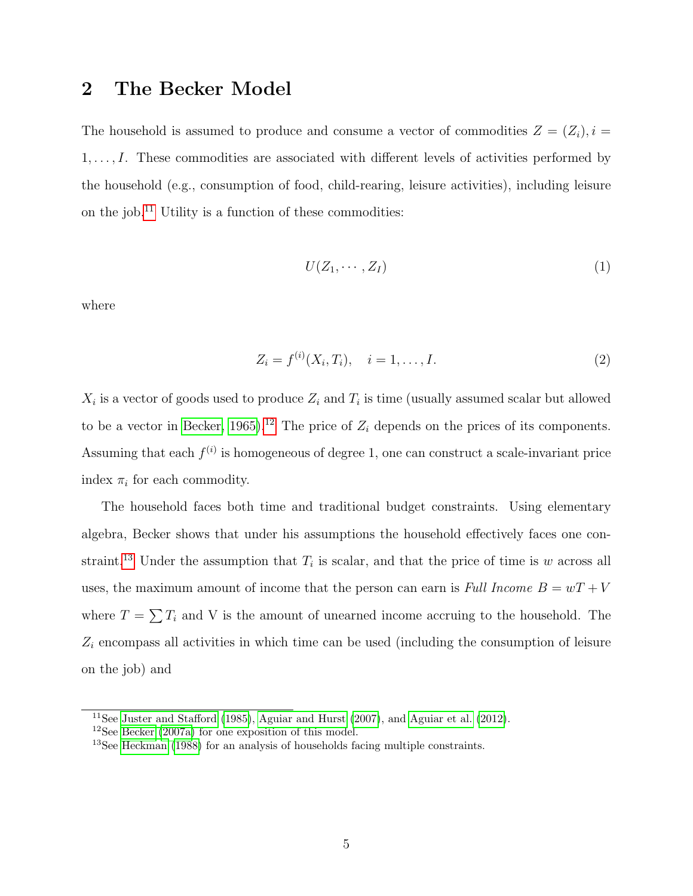#### 2 The Becker Model

The household is assumed to produce and consume a vector of commodities  $Z = (Z_i), i =$  $1, \ldots, I$ . These commodities are associated with different levels of activities performed by the household (e.g., consumption of food, child-rearing, leisure activities), including leisure on the job.<sup>[11](#page-6-0)</sup> Utility is a function of these commodities:

<span id="page-6-3"></span>
$$
U(Z_1, \cdots, Z_I) \tag{1}
$$

where

<span id="page-6-4"></span>
$$
Z_i = f^{(i)}(X_i, T_i), \quad i = 1, \dots, I.
$$
 (2)

 $X_i$  is a vector of goods used to produce  $Z_i$  and  $T_i$  is time (usually assumed scalar but allowed to be a vector in [Becker, 1965\)](#page-10-3).<sup>[12](#page-6-1)</sup> The price of  $Z_i$  depends on the prices of its components. Assuming that each  $f^{(i)}$  is homogeneous of degree 1, one can construct a scale-invariant price index  $\pi_i$  for each commodity.

The household faces both time and traditional budget constraints. Using elementary algebra, Becker shows that under his assumptions the household effectively faces one con-straint.<sup>[13](#page-6-2)</sup> Under the assumption that  $T_i$  is scalar, and that the price of time is w across all uses, the maximum amount of income that the person can earn is Full Income  $B = wT + V$ where  $T = \sum T_i$  and V is the amount of unearned income accruing to the household. The  $Z_i$  encompass all activities in which time can be used (including the consumption of leisure on the job) and

<span id="page-6-0"></span> $11$ See [Juster and Stafford](#page-13-3) [\(1985\)](#page-13-3), [Aguiar and Hurst](#page-10-6) [\(2007\)](#page-10-6), and [Aguiar et al.](#page-10-7) [\(2012\)](#page-10-7).

<span id="page-6-1"></span><sup>12</sup>See [Becker](#page-11-4) [\(2007a\)](#page-11-4) for one exposition of this model.

<span id="page-6-2"></span><sup>13</sup>See [Heckman](#page-13-9) [\(1988\)](#page-13-9) for an analysis of households facing multiple constraints.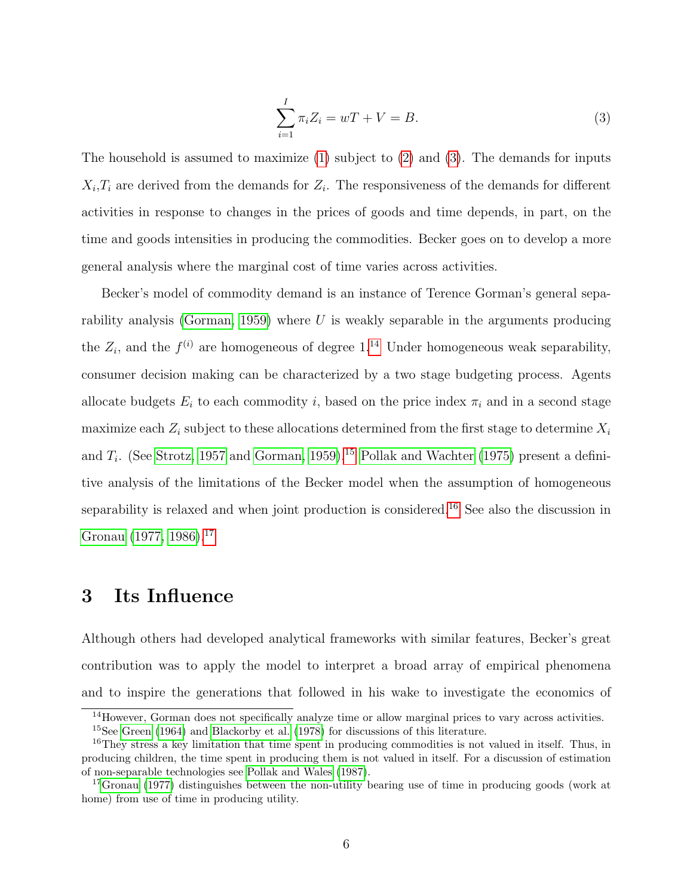<span id="page-7-0"></span>
$$
\sum_{i=1}^{I} \pi_i Z_i = wT + V = B.
$$
\n(3)

The household is assumed to maximize  $(1)$  subject to  $(2)$  and  $(3)$ . The demands for inputs  $X_i, T_i$  are derived from the demands for  $Z_i$ . The responsiveness of the demands for different activities in response to changes in the prices of goods and time depends, in part, on the time and goods intensities in producing the commodities. Becker goes on to develop a more general analysis where the marginal cost of time varies across activities.

Becker's model of commodity demand is an instance of Terence Gorman's general sepa-rability analysis [\(Gorman, 1959\)](#page-12-8) where  $U$  is weakly separable in the arguments producing the  $Z_i$ , and the  $f^{(i)}$  are homogeneous of degree 1.<sup>[14](#page-7-1)</sup> Under homogeneous weak separability, consumer decision making can be characterized by a two stage budgeting process. Agents allocate budgets  $E_i$  to each commodity i, based on the price index  $\pi_i$  and in a second stage maximize each  $Z_i$  subject to these allocations determined from the first stage to determine  $X_i$ and  $T_i$ . (See [Strotz, 1957](#page-16-0) and [Gorman, 1959\)](#page-12-8).<sup>[15](#page-7-2)</sup> [Pollak and Wachter](#page-15-4) [\(1975\)](#page-15-4) present a definitive analysis of the limitations of the Becker model when the assumption of homogeneous separability is relaxed and when joint production is considered.<sup>[16](#page-7-3)</sup> See also the discussion in [Gronau](#page-12-3) [\(1977,](#page-12-3) [1986\)](#page-12-4).<sup>[17](#page-7-4)</sup>

#### 3 Its Influence

Although others had developed analytical frameworks with similar features, Becker's great contribution was to apply the model to interpret a broad array of empirical phenomena and to inspire the generations that followed in his wake to investigate the economics of

<span id="page-7-2"></span><span id="page-7-1"></span><sup>&</sup>lt;sup>14</sup>However, Gorman does not specifically analyze time or allow marginal prices to vary across activities. <sup>15</sup>See [Green](#page-12-9) [\(1964\)](#page-12-9) and [Blackorby et al.](#page-11-3) [\(1978\)](#page-11-3) for discussions of this literature.

<span id="page-7-3"></span><sup>&</sup>lt;sup>16</sup>They stress a key limitation that time spent in producing commodities is not valued in itself. Thus, in producing children, the time spent in producing them is not valued in itself. For a discussion of estimation of non-separable technologies see [Pollak and Wales](#page-15-8) [\(1987\)](#page-15-8).

<span id="page-7-4"></span><sup>&</sup>lt;sup>17</sup>[Gronau](#page-12-3) [\(1977\)](#page-12-3) distinguishes between the non-utility bearing use of time in producing goods (work at home) from use of time in producing utility.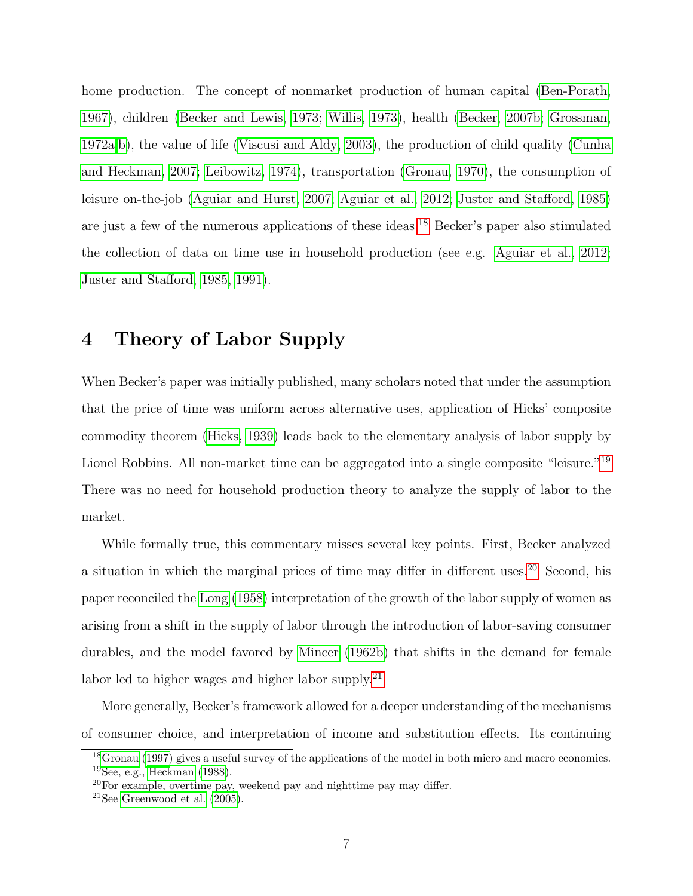home production. The concept of nonmarket production of human capital [\(Ben-Porath,](#page-11-5) [1967\)](#page-11-5), children [\(Becker and Lewis, 1973;](#page-11-6) [Willis, 1973\)](#page-16-1), health [\(Becker, 2007b;](#page-11-7) [Grossman,](#page-12-0) [1972a,](#page-12-0)[b\)](#page-12-1), the value of life [\(Viscusi and Aldy, 2003\)](#page-16-2), the production of child quality [\(Cunha](#page-11-8) [and Heckman, 2007;](#page-11-8) [Leibowitz, 1974\)](#page-13-5), transportation [\(Gronau, 1970\)](#page-12-2), the consumption of leisure on-the-job [\(Aguiar and Hurst, 2007;](#page-10-6) [Aguiar et al., 2012;](#page-10-7) [Juster and Stafford, 1985\)](#page-13-3) are just a few of the numerous applications of these ideas.[18](#page-8-0) Becker's paper also stimulated the collection of data on time use in household production (see e.g. [Aguiar et al., 2012;](#page-10-7) [Juster and Stafford, 1985,](#page-13-3) [1991\)](#page-13-4).

#### 4 Theory of Labor Supply

When Becker's paper was initially published, many scholars noted that under the assumption that the price of time was uniform across alternative uses, application of Hicks' composite commodity theorem [\(Hicks, 1939\)](#page-13-10) leads back to the elementary analysis of labor supply by Lionel Robbins. All non-market time can be aggregated into a single composite "leisure."<sup>[19](#page-8-1)</sup> There was no need for household production theory to analyze the supply of labor to the market.

While formally true, this commentary misses several key points. First, Becker analyzed a situation in which the marginal prices of time may differ in different uses.[20](#page-8-2) Second, his paper reconciled the [Long](#page-13-8) [\(1958\)](#page-13-8) interpretation of the growth of the labor supply of women as arising from a shift in the supply of labor through the introduction of labor-saving consumer durables, and the model favored by [Mincer](#page-14-8) [\(1962b\)](#page-14-8) that shifts in the demand for female labor led to higher wages and higher labor supply.<sup>[21](#page-8-3)</sup>

More generally, Becker's framework allowed for a deeper understanding of the mechanisms of consumer choice, and interpretation of income and substitution effects. Its continuing

<span id="page-8-1"></span><span id="page-8-0"></span><sup>&</sup>lt;sup>18</sup>[Gronau](#page-12-5) [\(1997\)](#page-12-5) gives a useful survey of the applications of the model in both micro and macro economics. <sup>19</sup>See, e.g., [Heckman](#page-13-9) [\(1988\)](#page-13-9).

<span id="page-8-2"></span> $20$ For example, overtime pay, weekend pay and nighttime pay may differ.

<span id="page-8-3"></span><sup>&</sup>lt;sup>21</sup>See [Greenwood et al.](#page-12-10)  $(2005)$ .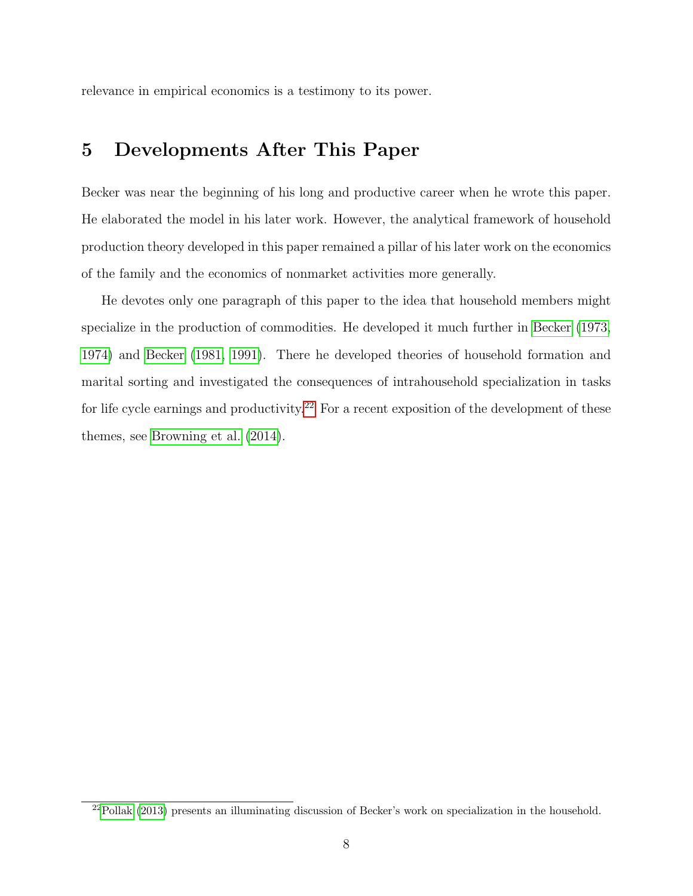relevance in empirical economics is a testimony to its power.

#### 5 Developments After This Paper

Becker was near the beginning of his long and productive career when he wrote this paper. He elaborated the model in his later work. However, the analytical framework of household production theory developed in this paper remained a pillar of his later work on the economics of the family and the economics of nonmarket activities more generally.

He devotes only one paragraph of this paper to the idea that household members might specialize in the production of commodities. He developed it much further in [Becker](#page-10-8) [\(1973,](#page-10-8) [1974\)](#page-10-9) and [Becker](#page-10-2) [\(1981,](#page-10-2) [1991\)](#page-11-9). There he developed theories of household formation and marital sorting and investigated the consequences of intrahousehold specialization in tasks for life cycle earnings and productivity.<sup>[22](#page-9-0)</sup> For a recent exposition of the development of these themes, see [Browning et al.](#page-11-10) [\(2014\)](#page-11-10).

<span id="page-9-0"></span><sup>22</sup>[Pollak](#page-15-9) [\(2013\)](#page-15-9) presents an illuminating discussion of Becker's work on specialization in the household.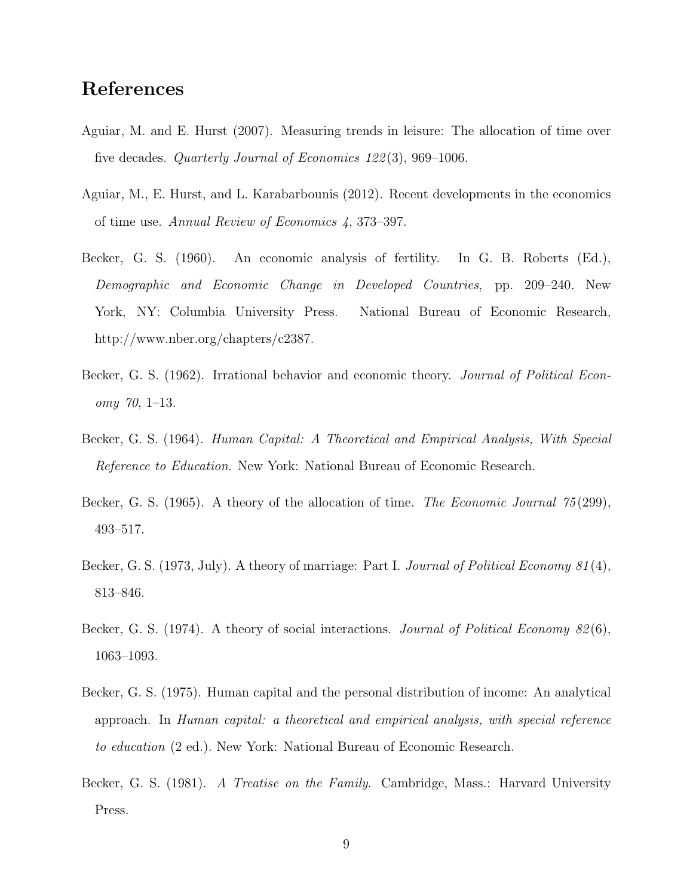### References

- <span id="page-10-6"></span>Aguiar, M. and E. Hurst (2007). Measuring trends in leisure: The allocation of time over five decades. *Quarterly Journal of Economics 122(3)*, 969–1006.
- <span id="page-10-7"></span>Aguiar, M., E. Hurst, and L. Karabarbounis (2012). Recent developments in the economics of time use. Annual Review of Economics 4, 373–397.
- <span id="page-10-5"></span>Becker, G. S. (1960). An economic analysis of fertility. In G. B. Roberts (Ed.), Demographic and Economic Change in Developed Countries, pp. 209–240. New York, NY: Columbia University Press. National Bureau of Economic Research, http://www.nber.org/chapters/c2387.
- <span id="page-10-4"></span>Becker, G. S. (1962). Irrational behavior and economic theory. *Journal of Political Econ*omy 70, 1–13.
- <span id="page-10-0"></span>Becker, G. S. (1964). Human Capital: A Theoretical and Empirical Analysis, With Special Reference to Education. New York: National Bureau of Economic Research.
- <span id="page-10-3"></span>Becker, G. S. (1965). A theory of the allocation of time. The Economic Journal 75(299), 493–517.
- <span id="page-10-8"></span>Becker, G. S. (1973, July). A theory of marriage: Part I. Journal of Political Economy 81(4), 813–846.
- <span id="page-10-9"></span>Becker, G. S. (1974). A theory of social interactions. *Journal of Political Economy 82*(6), 1063–1093.
- <span id="page-10-1"></span>Becker, G. S. (1975). Human capital and the personal distribution of income: An analytical approach. In Human capital: a theoretical and empirical analysis, with special reference to education (2 ed.). New York: National Bureau of Economic Research.
- <span id="page-10-2"></span>Becker, G. S. (1981). A Treatise on the Family. Cambridge, Mass.: Harvard University Press.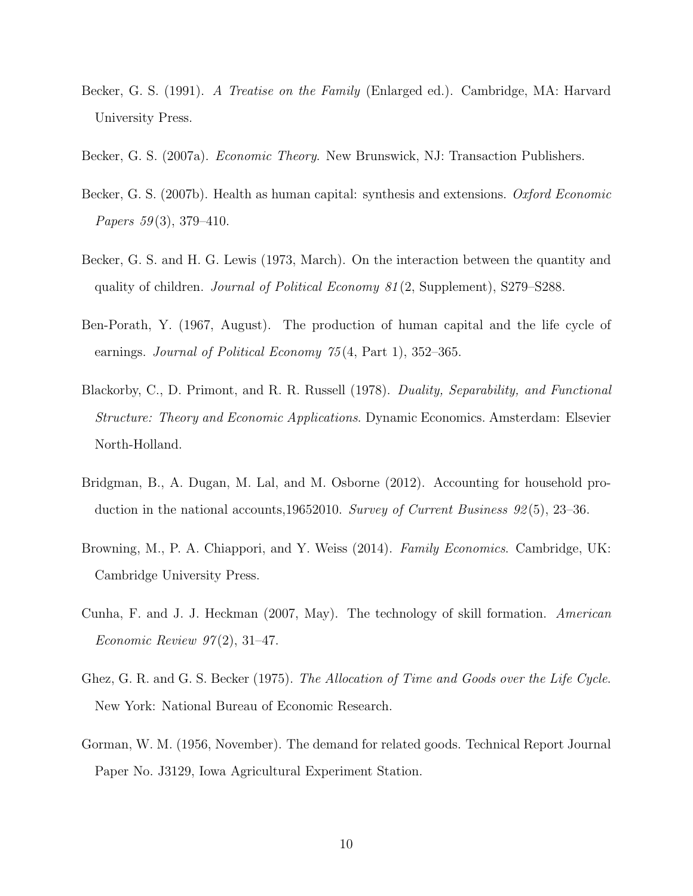- <span id="page-11-9"></span>Becker, G. S. (1991). A Treatise on the Family (Enlarged ed.). Cambridge, MA: Harvard University Press.
- <span id="page-11-4"></span>Becker, G. S. (2007a). Economic Theory. New Brunswick, NJ: Transaction Publishers.
- <span id="page-11-7"></span>Becker, G. S. (2007b). Health as human capital: synthesis and extensions. Oxford Economic Papers 59(3), 379–410.
- <span id="page-11-6"></span>Becker, G. S. and H. G. Lewis (1973, March). On the interaction between the quantity and quality of children. Journal of Political Economy 81 (2, Supplement), S279–S288.
- <span id="page-11-5"></span>Ben-Porath, Y. (1967, August). The production of human capital and the life cycle of earnings. *Journal of Political Economy* 75(4, Part 1), 352–365.
- <span id="page-11-3"></span>Blackorby, C., D. Primont, and R. R. Russell (1978). Duality, Separability, and Functional Structure: Theory and Economic Applications. Dynamic Economics. Amsterdam: Elsevier North-Holland.
- <span id="page-11-1"></span>Bridgman, B., A. Dugan, M. Lal, and M. Osborne (2012). Accounting for household production in the national accounts,19652010. Survey of Current Business 92 (5), 23–36.
- <span id="page-11-10"></span>Browning, M., P. A. Chiappori, and Y. Weiss (2014). Family Economics. Cambridge, UK: Cambridge University Press.
- <span id="page-11-8"></span>Cunha, F. and J. J. Heckman (2007, May). The technology of skill formation. American Economic Review  $97(2)$ , 31-47.
- <span id="page-11-0"></span>Ghez, G. R. and G. S. Becker (1975). The Allocation of Time and Goods over the Life Cycle. New York: National Bureau of Economic Research.
- <span id="page-11-2"></span>Gorman, W. M. (1956, November). The demand for related goods. Technical Report Journal Paper No. J3129, Iowa Agricultural Experiment Station.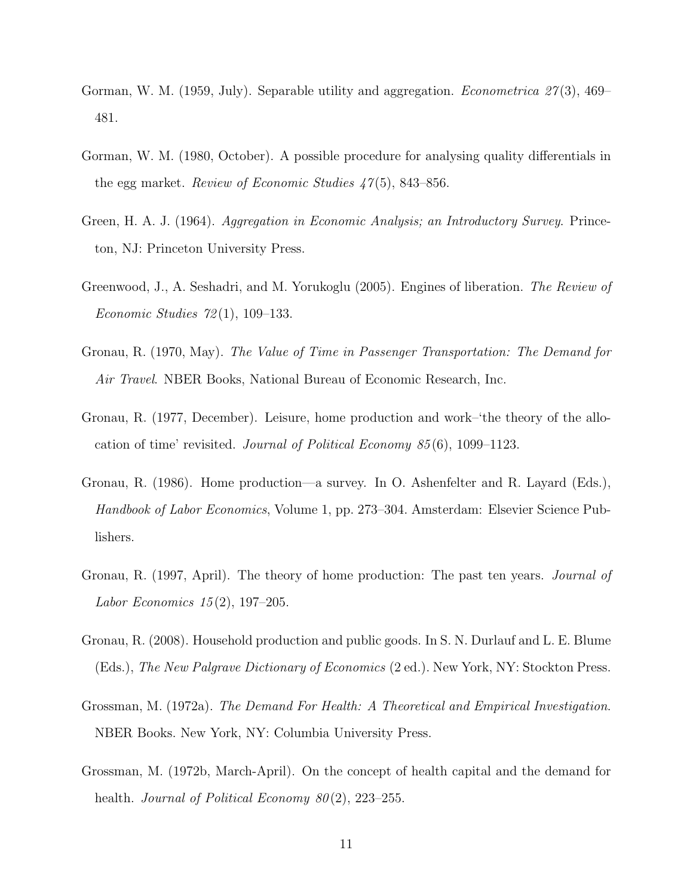- <span id="page-12-8"></span>Gorman, W. M. (1959, July). Separable utility and aggregation. *Econometrica*  $27(3)$ , 469– 481.
- <span id="page-12-7"></span>Gorman, W. M. (1980, October). A possible procedure for analysing quality differentials in the egg market. Review of Economic Studies  $47(5)$ , 843–856.
- <span id="page-12-9"></span>Green, H. A. J. (1964). Aggregation in Economic Analysis; an Introductory Survey. Princeton, NJ: Princeton University Press.
- <span id="page-12-10"></span>Greenwood, J., A. Seshadri, and M. Yorukoglu (2005). Engines of liberation. The Review of Economic Studies 72 (1), 109–133.
- <span id="page-12-2"></span>Gronau, R. (1970, May). The Value of Time in Passenger Transportation: The Demand for Air Travel. NBER Books, National Bureau of Economic Research, Inc.
- <span id="page-12-3"></span>Gronau, R. (1977, December). Leisure, home production and work–'the theory of the allocation of time' revisited. Journal of Political Economy 85 (6), 1099–1123.
- <span id="page-12-4"></span>Gronau, R. (1986). Home production—a survey. In O. Ashenfelter and R. Layard (Eds.), Handbook of Labor Economics, Volume 1, pp. 273–304. Amsterdam: Elsevier Science Publishers.
- <span id="page-12-5"></span>Gronau, R. (1997, April). The theory of home production: The past ten years. Journal of Labor Economics  $15(2)$ , 197–205.
- <span id="page-12-6"></span>Gronau, R. (2008). Household production and public goods. In S. N. Durlauf and L. E. Blume (Eds.), The New Palgrave Dictionary of Economics (2 ed.). New York, NY: Stockton Press.
- <span id="page-12-0"></span>Grossman, M. (1972a). The Demand For Health: A Theoretical and Empirical Investigation. NBER Books. New York, NY: Columbia University Press.
- <span id="page-12-1"></span>Grossman, M. (1972b, March-April). On the concept of health capital and the demand for health. Journal of Political Economy  $80(2)$ , 223–255.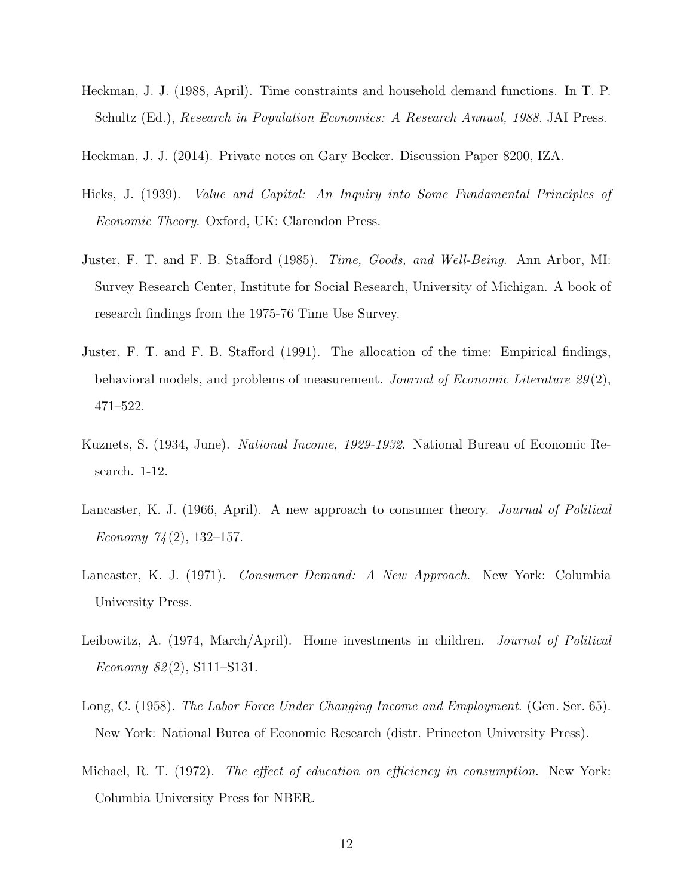- <span id="page-13-9"></span>Heckman, J. J. (1988, April). Time constraints and household demand functions. In T. P. Schultz (Ed.), Research in Population Economics: A Research Annual, 1988. JAI Press.
- <span id="page-13-0"></span>Heckman, J. J. (2014). Private notes on Gary Becker. Discussion Paper 8200, IZA.
- <span id="page-13-10"></span>Hicks, J. (1939). Value and Capital: An Inquiry into Some Fundamental Principles of Economic Theory. Oxford, UK: Clarendon Press.
- <span id="page-13-3"></span>Juster, F. T. and F. B. Stafford (1985). Time, Goods, and Well-Being. Ann Arbor, MI: Survey Research Center, Institute for Social Research, University of Michigan. A book of research findings from the 1975-76 Time Use Survey.
- <span id="page-13-4"></span>Juster, F. T. and F. B. Stafford (1991). The allocation of the time: Empirical findings, behavioral models, and problems of measurement. Journal of Economic Literature 29(2), 471–522.
- <span id="page-13-1"></span>Kuznets, S. (1934, June). National Income, 1929-1932. National Bureau of Economic Research. 1-12.
- <span id="page-13-6"></span>Lancaster, K. J. (1966, April). A new approach to consumer theory. Journal of Political Economy  $74(2)$ , 132–157.
- <span id="page-13-7"></span>Lancaster, K. J. (1971). Consumer Demand: A New Approach. New York: Columbia University Press.
- <span id="page-13-5"></span>Leibowitz, A. (1974, March/April). Home investments in children. Journal of Political Economy  $82(2)$ , S111–S131.
- <span id="page-13-8"></span>Long, C. (1958). The Labor Force Under Changing Income and Employment. (Gen. Ser. 65). New York: National Burea of Economic Research (distr. Princeton University Press).
- <span id="page-13-2"></span>Michael, R. T. (1972). The effect of education on efficiency in consumption. New York: Columbia University Press for NBER.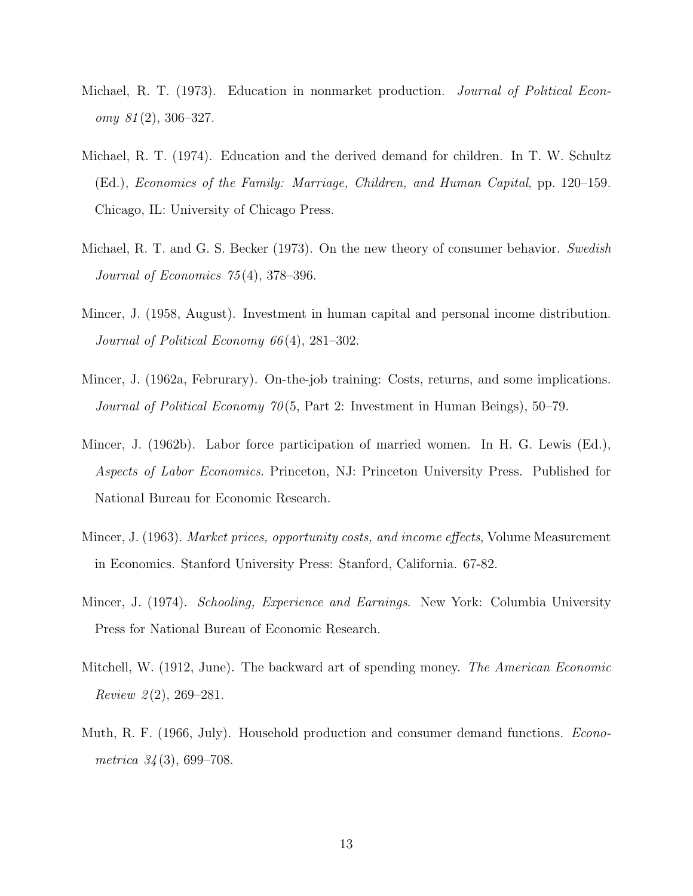- <span id="page-14-1"></span>Michael, R. T. (1973). Education in nonmarket production. *Journal of Political Econ* $omy \; 81(2), 306-327.$
- <span id="page-14-3"></span>Michael, R. T. (1974). Education and the derived demand for children. In T. W. Schultz (Ed.), Economics of the Family: Marriage, Children, and Human Capital, pp. 120–159. Chicago, IL: University of Chicago Press.
- <span id="page-14-4"></span>Michael, R. T. and G. S. Becker (1973). On the new theory of consumer behavior. Swedish Journal of Economics  $75(4)$ , 378-396.
- <span id="page-14-5"></span>Mincer, J. (1958, August). Investment in human capital and personal income distribution. Journal of Political Economy 66 (4), 281–302.
- <span id="page-14-6"></span>Mincer, J. (1962a, Februrary). On-the-job training: Costs, returns, and some implications. Journal of Political Economy 70 (5, Part 2: Investment in Human Beings), 50–79.
- <span id="page-14-8"></span>Mincer, J. (1962b). Labor force participation of married women. In H. G. Lewis (Ed.), Aspects of Labor Economics. Princeton, NJ: Princeton University Press. Published for National Bureau for Economic Research.
- <span id="page-14-9"></span>Mincer, J. (1963). Market prices, opportunity costs, and income effects, Volume Measurement in Economics. Stanford University Press: Stanford, California. 67-82.
- <span id="page-14-7"></span>Mincer, J. (1974). Schooling, Experience and Earnings. New York: Columbia University Press for National Bureau of Economic Research.
- <span id="page-14-0"></span>Mitchell, W. (1912, June). The backward art of spending money. The American Economic  $Review 2(2), 269-281.$
- <span id="page-14-2"></span>Muth, R. F. (1966, July). Household production and consumer demand functions. *Econo*metrica  $34(3)$ , 699–708.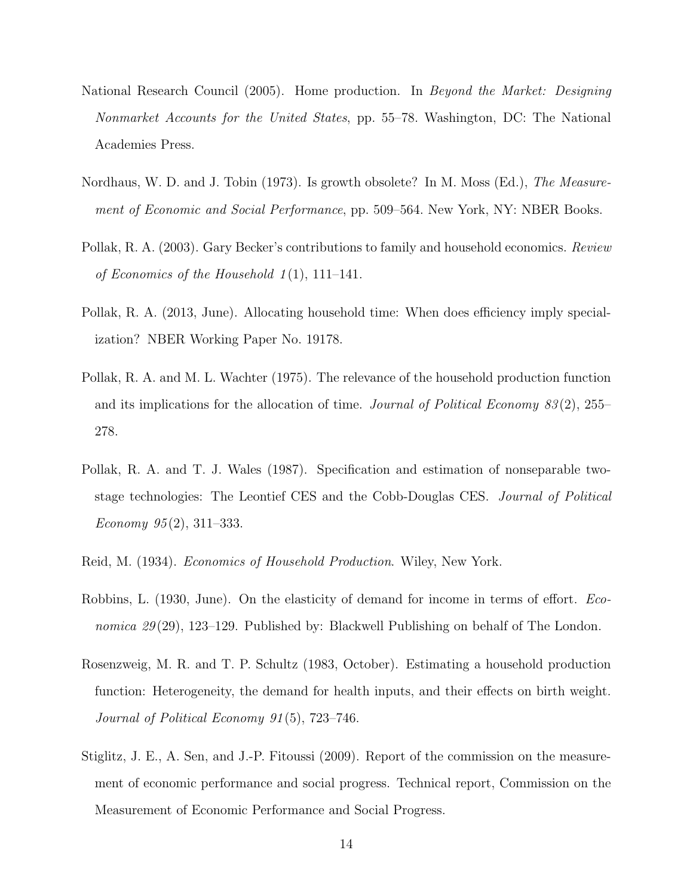- <span id="page-15-2"></span>National Research Council (2005). Home production. In Beyond the Market: Designing Nonmarket Accounts for the United States, pp. 55–78. Washington, DC: The National Academies Press.
- <span id="page-15-1"></span>Nordhaus, W. D. and J. Tobin (1973). Is growth obsolete? In M. Moss (Ed.), The Measurement of Economic and Social Performance, pp. 509–564. New York, NY: NBER Books.
- <span id="page-15-5"></span>Pollak, R. A. (2003). Gary Becker's contributions to family and household economics. Review of Economics of the Household  $1(1)$ , 111–141.
- <span id="page-15-9"></span>Pollak, R. A. (2013, June). Allocating household time: When does efficiency imply specialization? NBER Working Paper No. 19178.
- <span id="page-15-4"></span>Pollak, R. A. and M. L. Wachter (1975). The relevance of the household production function and its implications for the allocation of time. Journal of Political Economy  $83(2)$ , 255– 278.
- <span id="page-15-8"></span>Pollak, R. A. and T. J. Wales (1987). Specification and estimation of nonseparable twostage technologies: The Leontief CES and the Cobb-Douglas CES. Journal of Political Economy  $95(2)$ , 311–333.
- <span id="page-15-0"></span>Reid, M. (1934). Economics of Household Production. Wiley, New York.
- <span id="page-15-7"></span>Robbins, L. (1930, June). On the elasticity of demand for income in terms of effort. Economica 29 (29), 123–129. Published by: Blackwell Publishing on behalf of The London.
- <span id="page-15-6"></span>Rosenzweig, M. R. and T. P. Schultz (1983, October). Estimating a household production function: Heterogeneity, the demand for health inputs, and their effects on birth weight. Journal of Political Economy 91 (5), 723–746.
- <span id="page-15-3"></span>Stiglitz, J. E., A. Sen, and J.-P. Fitoussi (2009). Report of the commission on the measurement of economic performance and social progress. Technical report, Commission on the Measurement of Economic Performance and Social Progress.